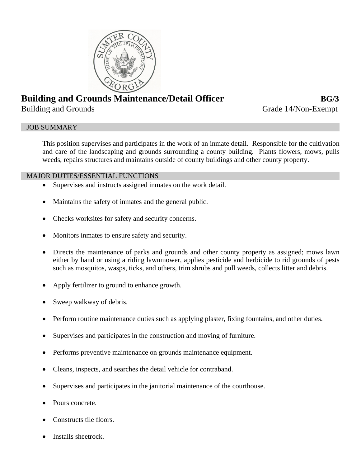

# **Building and Grounds Maintenance/Detail Officer <b>BG/3**

Building and Grounds Grade 14/Non-Exempt

# JOB SUMMARY

This position supervises and participates in the work of an inmate detail. Responsible for the cultivation and care of the landscaping and grounds surrounding a county building. Plants flowers, mows, pulls weeds, repairs structures and maintains outside of county buildings and other county property.

# MAJOR DUTIES/ESSENTIAL FUNCTIONS

- Supervises and instructs assigned inmates on the work detail.
- Maintains the safety of inmates and the general public.
- Checks worksites for safety and security concerns.
- Monitors inmates to ensure safety and security.
- Directs the maintenance of parks and grounds and other county property as assigned; mows lawn either by hand or using a riding lawnmower, applies pesticide and herbicide to rid grounds of pests such as mosquitos, wasps, ticks, and others, trim shrubs and pull weeds, collects litter and debris.
- Apply fertilizer to ground to enhance growth.
- Sweep walkway of debris.
- Perform routine maintenance duties such as applying plaster, fixing fountains, and other duties.
- Supervises and participates in the construction and moving of furniture.
- Performs preventive maintenance on grounds maintenance equipment.
- Cleans, inspects, and searches the detail vehicle for contraband.
- Supervises and participates in the janitorial maintenance of the courthouse.
- Pours concrete.
- Constructs tile floors.
- Installs sheetrock.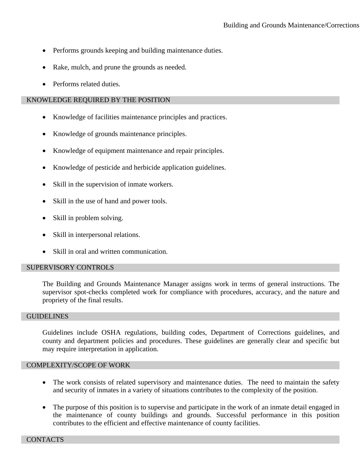- Performs grounds keeping and building maintenance duties.
- Rake, mulch, and prune the grounds as needed.
- Performs related duties.

## KNOWLEDGE REQUIRED BY THE POSITION

- Knowledge of facilities maintenance principles and practices.
- Knowledge of grounds maintenance principles.
- Knowledge of equipment maintenance and repair principles.
- Knowledge of pesticide and herbicide application guidelines.
- Skill in the supervision of inmate workers.
- Skill in the use of hand and power tools.
- Skill in problem solving.
- Skill in interpersonal relations.
- Skill in oral and written communication.

### SUPERVISORY CONTROLS

The Building and Grounds Maintenance Manager assigns work in terms of general instructions. The supervisor spot-checks completed work for compliance with procedures, accuracy, and the nature and propriety of the final results.

### **GUIDELINES**

Guidelines include OSHA regulations, building codes, Department of Corrections guidelines, and county and department policies and procedures. These guidelines are generally clear and specific but may require interpretation in application.

### COMPLEXITY/SCOPE OF WORK

- The work consists of related supervisory and maintenance duties. The need to maintain the safety and security of inmates in a variety of situations contributes to the complexity of the position.
- The purpose of this position is to supervise and participate in the work of an inmate detail engaged in the maintenance of county buildings and grounds. Successful performance in this position contributes to the efficient and effective maintenance of county facilities.